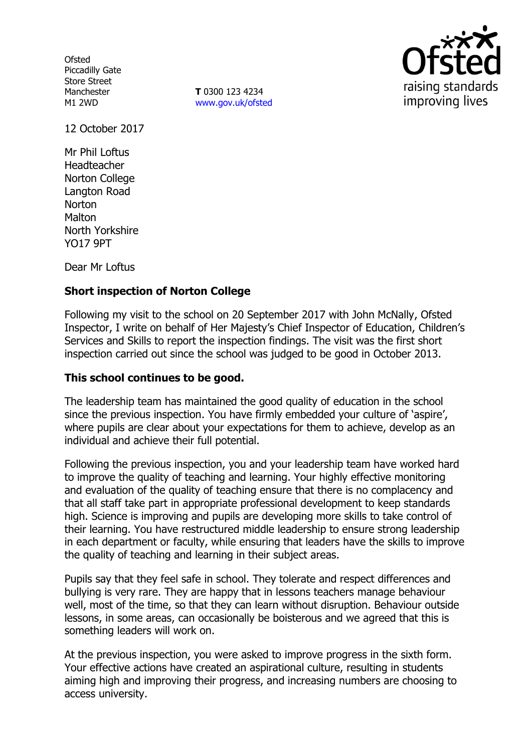**Ofsted** Piccadilly Gate Store Street Manchester M1 2WD

**T** 0300 123 4234 www.gov.uk/ofsted



12 October 2017

Mr Phil Loftus Headteacher Norton College Langton Road **Norton** Malton North Yorkshire YO17 9PT

Dear Mr Loftus

### **Short inspection of Norton College**

Following my visit to the school on 20 September 2017 with John McNally, Ofsted Inspector, I write on behalf of Her Majesty's Chief Inspector of Education, Children's Services and Skills to report the inspection findings. The visit was the first short inspection carried out since the school was judged to be good in October 2013.

#### **This school continues to be good.**

The leadership team has maintained the good quality of education in the school since the previous inspection. You have firmly embedded your culture of 'aspire', where pupils are clear about your expectations for them to achieve, develop as an individual and achieve their full potential.

Following the previous inspection, you and your leadership team have worked hard to improve the quality of teaching and learning. Your highly effective monitoring and evaluation of the quality of teaching ensure that there is no complacency and that all staff take part in appropriate professional development to keep standards high. Science is improving and pupils are developing more skills to take control of their learning. You have restructured middle leadership to ensure strong leadership in each department or faculty, while ensuring that leaders have the skills to improve the quality of teaching and learning in their subject areas.

Pupils say that they feel safe in school. They tolerate and respect differences and bullying is very rare. They are happy that in lessons teachers manage behaviour well, most of the time, so that they can learn without disruption. Behaviour outside lessons, in some areas, can occasionally be boisterous and we agreed that this is something leaders will work on.

At the previous inspection, you were asked to improve progress in the sixth form. Your effective actions have created an aspirational culture, resulting in students aiming high and improving their progress, and increasing numbers are choosing to access university.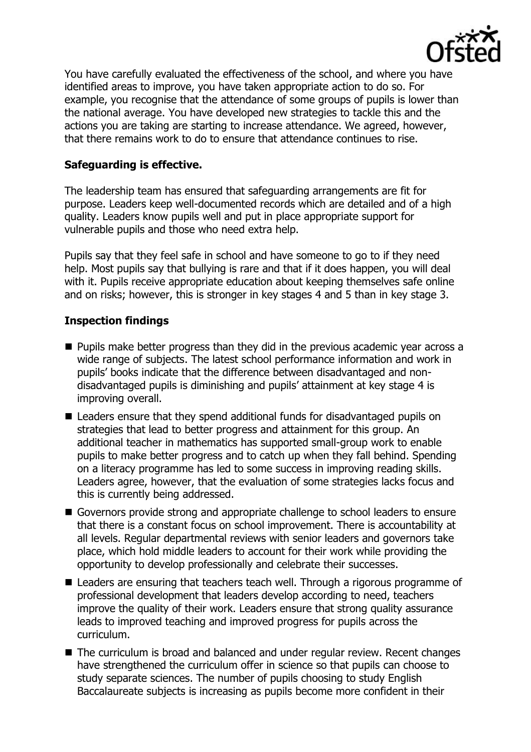

You have carefully evaluated the effectiveness of the school, and where you have identified areas to improve, you have taken appropriate action to do so. For example, you recognise that the attendance of some groups of pupils is lower than the national average. You have developed new strategies to tackle this and the actions you are taking are starting to increase attendance. We agreed, however, that there remains work to do to ensure that attendance continues to rise.

## **Safeguarding is effective.**

The leadership team has ensured that safeguarding arrangements are fit for purpose. Leaders keep well-documented records which are detailed and of a high quality. Leaders know pupils well and put in place appropriate support for vulnerable pupils and those who need extra help.

Pupils say that they feel safe in school and have someone to go to if they need help. Most pupils say that bullying is rare and that if it does happen, you will deal with it. Pupils receive appropriate education about keeping themselves safe online and on risks; however, this is stronger in key stages 4 and 5 than in key stage 3.

#### **Inspection findings**

- **Pupils make better progress than they did in the previous academic year across a** wide range of subjects. The latest school performance information and work in pupils' books indicate that the difference between disadvantaged and nondisadvantaged pupils is diminishing and pupils' attainment at key stage 4 is improving overall.
- Leaders ensure that they spend additional funds for disadvantaged pupils on strategies that lead to better progress and attainment for this group. An additional teacher in mathematics has supported small-group work to enable pupils to make better progress and to catch up when they fall behind. Spending on a literacy programme has led to some success in improving reading skills. Leaders agree, however, that the evaluation of some strategies lacks focus and this is currently being addressed.
- Governors provide strong and appropriate challenge to school leaders to ensure that there is a constant focus on school improvement. There is accountability at all levels. Regular departmental reviews with senior leaders and governors take place, which hold middle leaders to account for their work while providing the opportunity to develop professionally and celebrate their successes.
- Leaders are ensuring that teachers teach well. Through a rigorous programme of professional development that leaders develop according to need, teachers improve the quality of their work. Leaders ensure that strong quality assurance leads to improved teaching and improved progress for pupils across the curriculum.
- The curriculum is broad and balanced and under regular review. Recent changes have strengthened the curriculum offer in science so that pupils can choose to study separate sciences. The number of pupils choosing to study English Baccalaureate subjects is increasing as pupils become more confident in their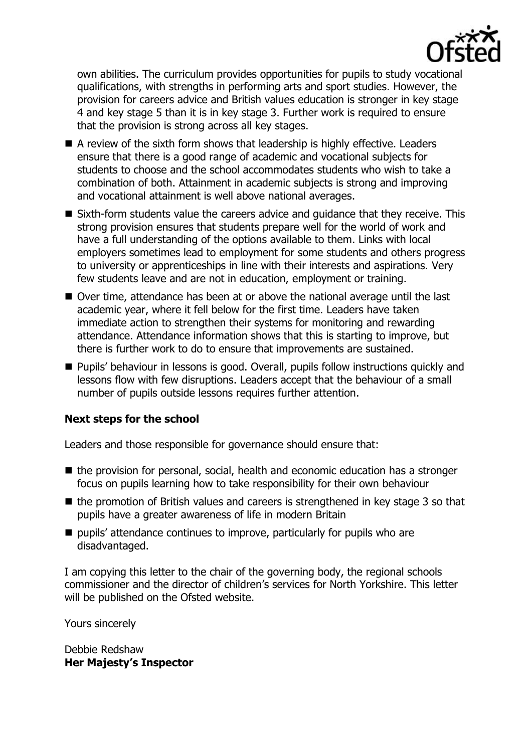

own abilities. The curriculum provides opportunities for pupils to study vocational qualifications, with strengths in performing arts and sport studies. However, the provision for careers advice and British values education is stronger in key stage 4 and key stage 5 than it is in key stage 3. Further work is required to ensure that the provision is strong across all key stages.

- A review of the sixth form shows that leadership is highly effective. Leaders ensure that there is a good range of academic and vocational subjects for students to choose and the school accommodates students who wish to take a combination of both. Attainment in academic subjects is strong and improving and vocational attainment is well above national averages.
- Sixth-form students value the careers advice and quidance that they receive. This strong provision ensures that students prepare well for the world of work and have a full understanding of the options available to them. Links with local employers sometimes lead to employment for some students and others progress to university or apprenticeships in line with their interests and aspirations. Very few students leave and are not in education, employment or training.
- Over time, attendance has been at or above the national average until the last academic year, where it fell below for the first time. Leaders have taken immediate action to strengthen their systems for monitoring and rewarding attendance. Attendance information shows that this is starting to improve, but there is further work to do to ensure that improvements are sustained.
- **Pupils' behaviour in lessons is good. Overall, pupils follow instructions quickly and** lessons flow with few disruptions. Leaders accept that the behaviour of a small number of pupils outside lessons requires further attention.

# **Next steps for the school**

Leaders and those responsible for governance should ensure that:

- $\blacksquare$  the provision for personal, social, health and economic education has a stronger focus on pupils learning how to take responsibility for their own behaviour
- $\blacksquare$  the promotion of British values and careers is strengthened in key stage 3 so that pupils have a greater awareness of life in modern Britain
- pupils' attendance continues to improve, particularly for pupils who are disadvantaged.

I am copying this letter to the chair of the governing body, the regional schools commissioner and the director of children's services for North Yorkshire. This letter will be published on the Ofsted website.

Yours sincerely

Debbie Redshaw **Her Majesty's Inspector**